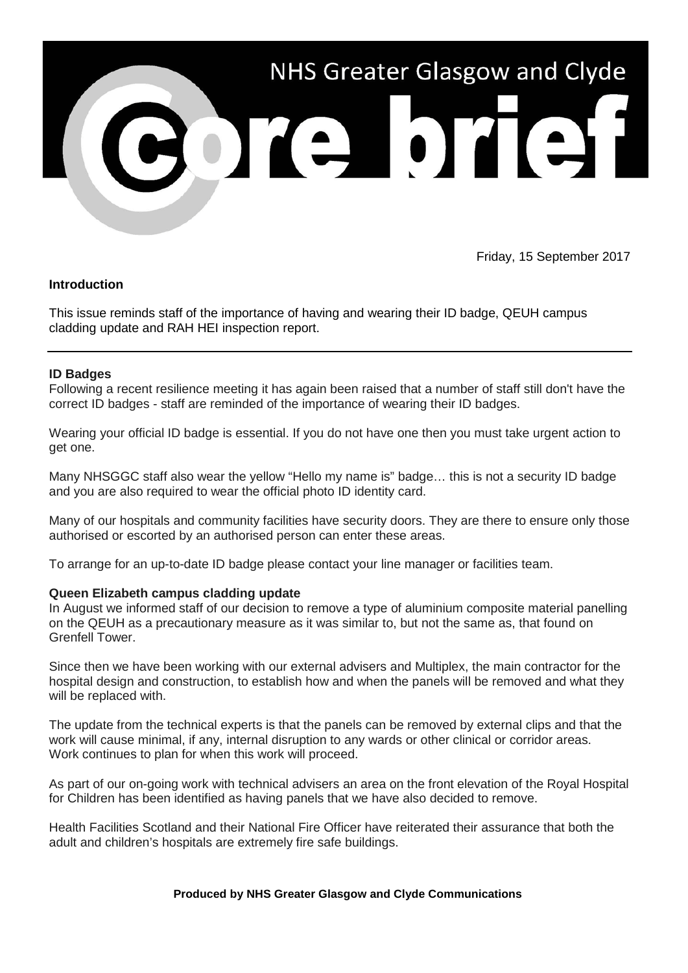

Friday, 15 September 2017

## **Introduction**

This issue reminds staff of the importance of having and wearing their ID badge, QEUH campus cladding update and RAH HEI inspection report.

## **ID Badges**

Following a recent resilience meeting it has again been raised that a number of staff still don't have the correct ID badges - staff are reminded of the importance of wearing their ID badges.

Wearing your official ID badge is essential. If you do not have one then you must take urgent action to get one.

Many NHSGGC staff also wear the yellow "Hello my name is" badge… this is not a security ID badge and you are also required to wear the official photo ID identity card.

Many of our hospitals and community facilities have security doors. They are there to ensure only those authorised or escorted by an authorised person can enter these areas.

To arrange for an up-to-date ID badge please contact your line manager or facilities team.

### **Queen Elizabeth campus cladding update**

In August we informed staff of our decision to remove a type of aluminium composite material panelling on the QEUH as a precautionary measure as it was similar to, but not the same as, that found on Grenfell Tower.

Since then we have been working with our external advisers and Multiplex, the main contractor for the hospital design and construction, to establish how and when the panels will be removed and what they will be replaced with.

The update from the technical experts is that the panels can be removed by external clips and that the work will cause minimal, if any, internal disruption to any wards or other clinical or corridor areas. Work continues to plan for when this work will proceed.

As part of our on-going work with technical advisers an area on the front elevation of the Royal Hospital for Children has been identified as having panels that we have also decided to remove.

Health Facilities Scotland and their National Fire Officer have reiterated their assurance that both the adult and children's hospitals are extremely fire safe buildings.

#### **Produced by NHS Greater Glasgow and Clyde Communications**